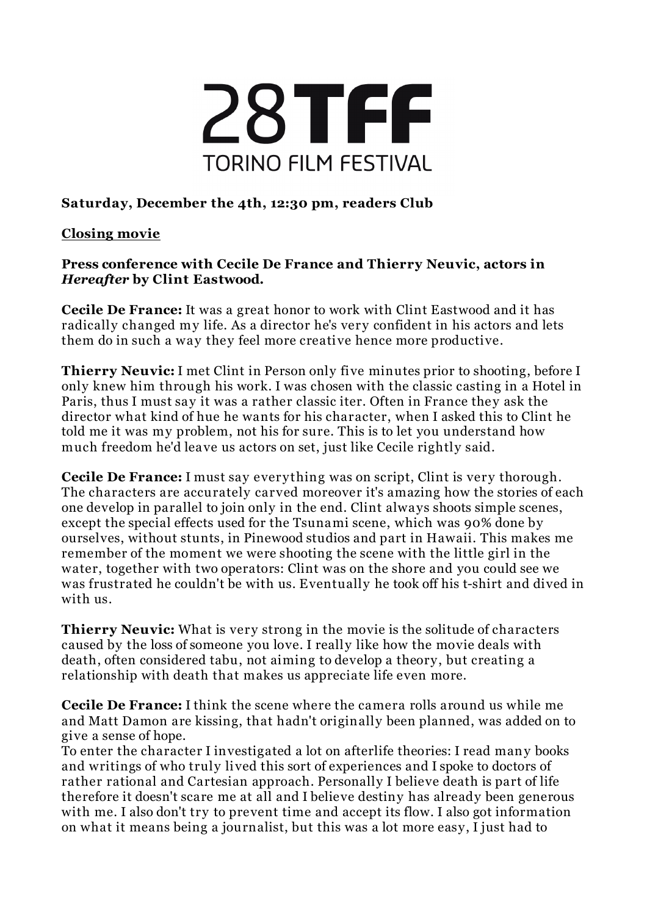

## **Saturday, December the 4th, 12:30 pm, readers Club**

## **Closing movie**

## **Press conference with Cecile De France and Thierry Neuvic, actors in** *Hereafter* **by Clint Eastwood.**

**Cecile De France:** It was a great honor to work with Clint Eastwood and it has radically changed my life. As a director he's very confident in his actors and lets them do in such a way they feel more creati ve hence more productive.

**Thierry Neuvic:** I met Clint in Person only five minutes prior to shooting, before I only knew him through his work. I was chosen with the classic casting in a Hotel in Paris, thus I must say it was a rather classic iter. Often in France they ask the director what kind of hue he wants for his character, when I asked this to Clint he told me it was my problem, not his for sure. This is to let you understand how much freedom he'd leave us actors on set, just like Cecile rightly said.

**Cecile De France:** I must say everything was on script, Clint is very thorough. The characters are accurately carved moreover it's amazing how the stories of each one develop in parallel to join only in the end. Clint always shoots simple scenes, except the special effects used for the Tsunami scene, which was 90% done by ourselves, without stunts, in Pinewood studios and part in Hawaii. This makes me remember of the moment we were shooting the scene with the little girl in the water, together with two operators: Clint was on the shore and you could see we was frustrated he couldn't be with us. Eventually he took off his t-shirt and dived in with us.

**Thierry Neuvic:** What is very strong in the movie is the solitude of characters caused by the loss of someone you love. I really like how the movie deals with death, often considered tabu, not aiming to develop a theory, but creating a relationship with death that makes us appreciate life even more.

**Cecile De France:** I think the scene where the camera rolls around us while me and Matt Damon are kissing, that hadn't originally been planned, was added on to give a sense of hope.

To enter the character I investigated a lot on afterlife theories: I read many books and writings of who truly li ved this sort of experiences and I spoke to doctors of rather rational and Cartesian approach. Personally I believe death is part of life therefore it doesn't scare me at all and I believe destiny has already been generous with me. I also don't try to prevent time and accept its flow. I also got information on what it means being a journalist, but this was a lot more easy, I just had to